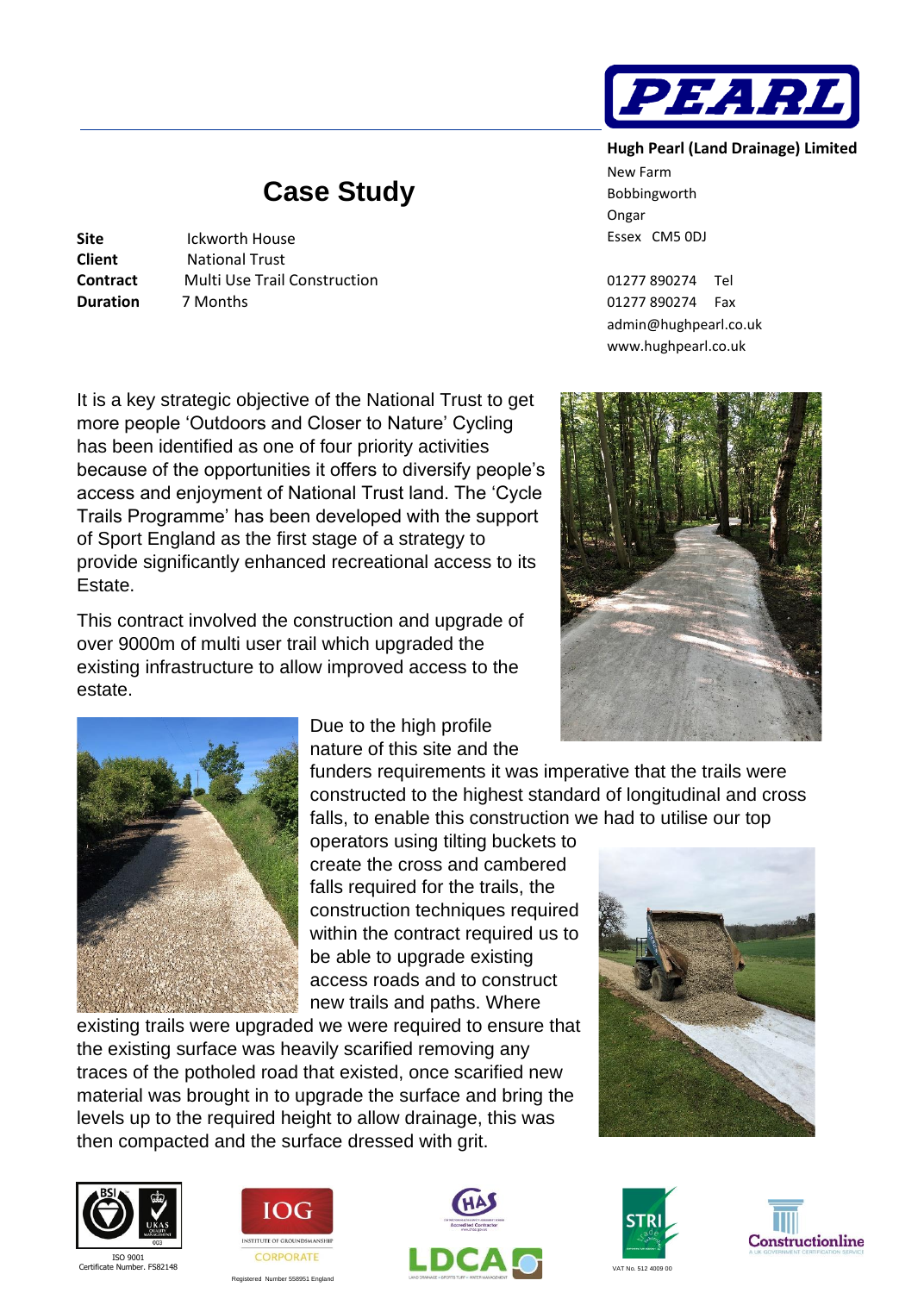

## **Hugh Pearl (Land Drainage) Limited**

New Farm Bobbingworth Ongar Essex CM5 0DJ

01277 890274 Tel 01277 890274 Fax [admin@hughpearl.co.uk](mailto:admin@hughpearl.co.uk) www.hughpearl.co.uk



## **Case Study**

**Site** Ickworth House **Client** National Trust **Contract Multi Use Trail Construction Duration** 7 Months

It is a key strategic objective of the National Trust to get more people 'Outdoors and Closer to Nature' Cycling has been identified as one of four priority activities because of the opportunities it offers to diversify people's access and enjoyment of National Trust land. The 'Cycle Trails Programme' has been developed with the support of Sport England as the first stage of a strategy to provide significantly enhanced recreational access to its Estate.

This contract involved the construction and upgrade of over 9000m of multi user trail which upgraded the existing infrastructure to allow improved access to the estate.



Due to the high profile nature of this site and the

funders requirements it was imperative that the trails were constructed to the highest standard of longitudinal and cross falls, to enable this construction we had to utilise our top

operators using tilting buckets to create the cross and cambered falls required for the trails, the construction techniques required within the contract required us to be able to upgrade existing access roads and to construct new trails and paths. Where

existing trails were upgraded we were required to ensure that the existing surface was heavily scarified removing any traces of the potholed road that existed, once scarified new material was brought in to upgrade the surface and bring the levels up to the required height to allow drainage, this was then compacted and the surface dressed with grit.